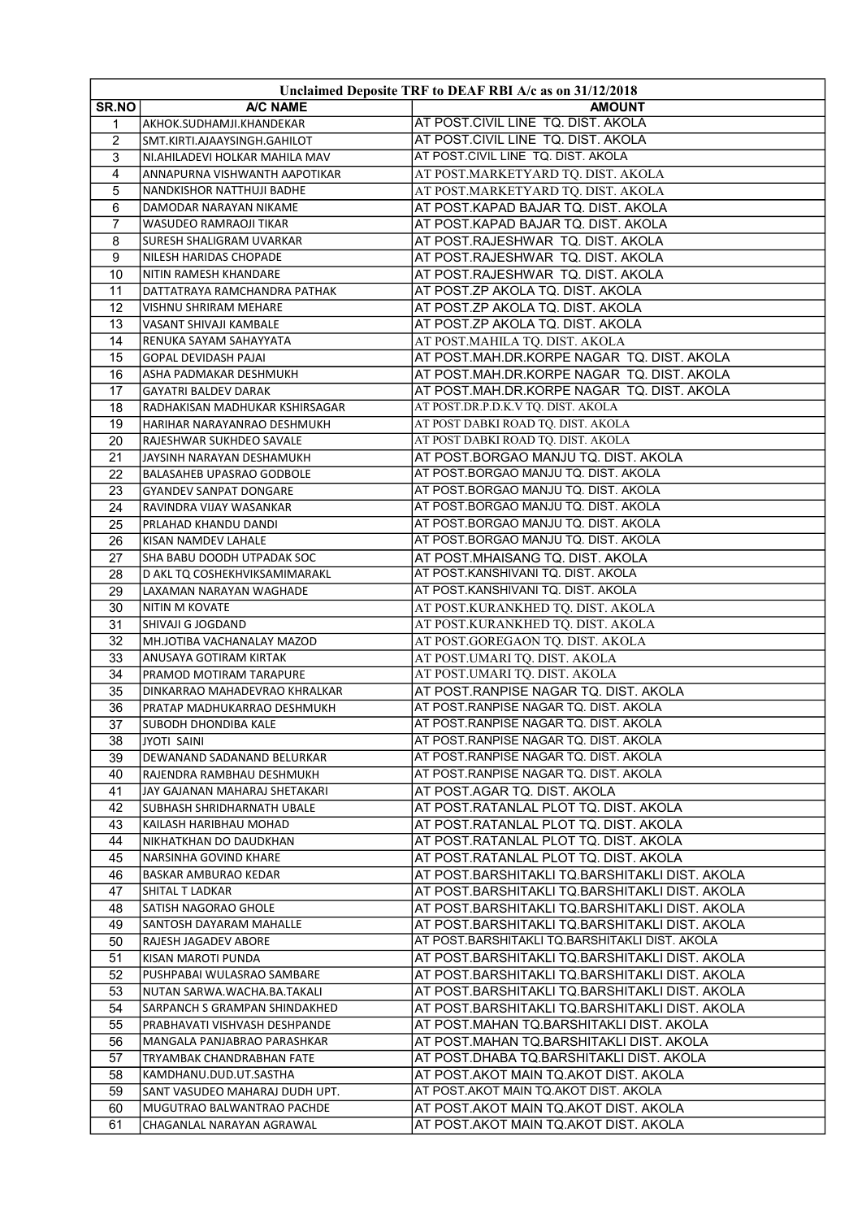| Unclaimed Deposite TRF to DEAF RBI A/c as on 31/12/2018 |                                                      |                                                                                |  |  |
|---------------------------------------------------------|------------------------------------------------------|--------------------------------------------------------------------------------|--|--|
| <b>SR.NO</b>                                            | A/C NAME                                             | <b>AMOUNT</b>                                                                  |  |  |
| 1                                                       | AKHOK.SUDHAMJI.KHANDEKAR                             | AT POST.CIVIL LINE TQ. DIST. AKOLA                                             |  |  |
| $\overline{2}$                                          | SMT.KIRTI.AJAAYSINGH.GAHILOT                         | AT POST.CIVIL LINE TQ. DIST. AKOLA                                             |  |  |
| 3                                                       | NI.AHILADEVI HOLKAR MAHILA MAV                       | AT POST.CIVIL LINE TQ. DIST. AKOLA                                             |  |  |
| 4                                                       | ANNAPURNA VISHWANTH AAPOTIKAR                        | AT POST.MARKETYARD TQ. DIST. AKOLA                                             |  |  |
| 5                                                       | NANDKISHOR NATTHUJI BADHE                            | AT POST.MARKETYARD TQ. DIST. AKOLA                                             |  |  |
| 6                                                       | DAMODAR NARAYAN NIKAME                               | AT POST.KAPAD BAJAR TQ. DIST. AKOLA                                            |  |  |
| $\overline{7}$                                          | <b>WASUDEO RAMRAOJI TIKAR</b>                        | AT POST.KAPAD BAJAR TQ. DIST. AKOLA                                            |  |  |
| 8                                                       | SURESH SHALIGRAM UVARKAR                             | AT POST.RAJESHWAR TQ. DIST. AKOLA                                              |  |  |
| 9                                                       | NILESH HARIDAS CHOPADE                               | AT POST.RAJESHWAR TQ. DIST. AKOLA                                              |  |  |
| 10                                                      | NITIN RAMESH KHANDARE                                | AT POST.RAJESHWAR TQ. DIST. AKOLA                                              |  |  |
| 11                                                      | DATTATRAYA RAMCHANDRA PATHAK                         | AT POST.ZP AKOLA TQ. DIST. AKOLA                                               |  |  |
| 12                                                      | VISHNU SHRIRAM MEHARE                                | AT POST.ZP AKOLA TQ. DIST. AKOLA                                               |  |  |
| 13                                                      | VASANT SHIVAJI KAMBALE                               | AT POST.ZP AKOLA TQ. DIST. AKOLA                                               |  |  |
| 14                                                      | RENUKA SAYAM SAHAYYATA                               | AT POST.MAHILA TQ. DIST. AKOLA                                                 |  |  |
| 15                                                      | GOPAL DEVIDASH PAJAI                                 | AT POST.MAH.DR.KORPE NAGAR TQ. DIST. AKOLA                                     |  |  |
| 16                                                      | ASHA PADMAKAR DESHMUKH                               | AT POST.MAH.DR.KORPE NAGAR TQ. DIST. AKOLA                                     |  |  |
| 17                                                      | <b>GAYATRI BALDEV DARAK</b>                          | AT POST.MAH.DR.KORPE NAGAR TQ. DIST. AKOLA                                     |  |  |
| 18                                                      | RADHAKISAN MADHUKAR KSHIRSAGAR                       | AT POST.DR.P.D.K.V TQ. DIST. AKOLA                                             |  |  |
| 19                                                      | HARIHAR NARAYANRAO DESHMUKH                          | AT POST DABKI ROAD TQ. DIST. AKOLA                                             |  |  |
| 20                                                      | RAJESHWAR SUKHDEO SAVALE                             | AT POST DABKI ROAD TQ. DIST. AKOLA                                             |  |  |
| 21                                                      | JAYSINH NARAYAN DESHAMUKH                            | AT POST.BORGAO MANJU TQ. DIST. AKOLA                                           |  |  |
| 22                                                      | BALASAHEB UPASRAO GODBOLE                            | AT POST BORGAO MANJU TO. DIST. AKOLA                                           |  |  |
| 23                                                      | <b>GYANDEV SANPAT DONGARE</b>                        | AT POST BORGAO MANJU TO. DIST. AKOLA                                           |  |  |
| 24                                                      | RAVINDRA VIJAY WASANKAR                              | AT POST BORGAO MANJU TQ. DIST. AKOLA                                           |  |  |
| 25                                                      | PRLAHAD KHANDU DANDI                                 | AT POST BORGAO MANJU TQ. DIST. AKOLA                                           |  |  |
| 26                                                      | KISAN NAMDEV LAHALE                                  | AT POST.BORGAO MANJU TQ. DIST. AKOLA                                           |  |  |
| 27                                                      | SHA BABU DOODH UTPADAK SOC                           | AT POST.MHAISANG TQ. DIST. AKOLA                                               |  |  |
| 28                                                      | D AKL TQ COSHEKHVIKSAMIMARAKL                        | AT POST KANSHIVANI TQ. DIST. AKOLA                                             |  |  |
| 29                                                      | LAXAMAN NARAYAN WAGHADE                              | AT POST.KANSHIVANI TQ. DIST. AKOLA                                             |  |  |
| 30                                                      | NITIN M KOVATE                                       | AT POST.KURANKHED TQ. DIST. AKOLA                                              |  |  |
| 31                                                      | SHIVAJI G JOGDAND                                    | AT POST.KURANKHED TQ. DIST. AKOLA                                              |  |  |
| 32                                                      | MH.JOTIBA VACHANALAY MAZOD                           | AT POST.GOREGAON TQ. DIST. AKOLA                                               |  |  |
| 33                                                      | ANUSAYA GOTIRAM KIRTAK                               | AT POST.UMARI TQ. DIST. AKOLA                                                  |  |  |
| 34                                                      | PRAMOD MOTIRAM TARAPURE                              | AT POST.UMARI TQ. DIST. AKOLA                                                  |  |  |
| 35                                                      | DINKARRAO MAHADEVRAO KHRALKAR                        | AT POST.RANPISE NAGAR TQ. DIST. AKOLA                                          |  |  |
| 36                                                      | PRATAP MADHUKARRAO DESHMUKH                          | AT POST.RANPISE NAGAR TQ. DIST. AKOLA                                          |  |  |
| 37                                                      | <b>SUBODH DHONDIBA KALE</b>                          | AT POST.RANPISE NAGAR TQ. DIST. AKOLA                                          |  |  |
| 38                                                      | JYOTI SAINI                                          | AT POST RANPISE NAGAR TO. DIST. AKOLA<br>AT POST RANPISE NAGAR TO. DIST. AKOLA |  |  |
| 39                                                      | DEWANAND SADANAND BELURKAR                           | AT POST RANPISE NAGAR TO. DIST. AKOLA                                          |  |  |
| 40<br>41                                                | RAJENDRA RAMBHAU DESHMUKH                            | AT POST.AGAR TQ. DIST. AKOLA                                                   |  |  |
|                                                         | JAY GAJANAN MAHARAJ SHETAKARI                        | AT POST.RATANLAL PLOT TQ. DIST. AKOLA                                          |  |  |
| 42<br>43                                                | SUBHASH SHRIDHARNATH UBALE<br>KAILASH HARIBHAU MOHAD | AT POST.RATANLAL PLOT TQ. DIST. AKOLA                                          |  |  |
|                                                         | NIKHATKHAN DO DAUDKHAN                               |                                                                                |  |  |
| 44<br>45                                                | NARSINHA GOVIND KHARE                                | AT POST.RATANLAL PLOT TQ. DIST. AKOLA<br>AT POST.RATANLAL PLOT TQ. DIST. AKOLA |  |  |
| 46                                                      | BASKAR AMBURAO KEDAR                                 | AT POST.BARSHITAKLI TQ.BARSHITAKLI DIST. AKOLA                                 |  |  |
| 47                                                      | SHITAL T LADKAR                                      | AT POST.BARSHITAKLI TQ.BARSHITAKLI DIST. AKOLA                                 |  |  |
| 48                                                      | SATISH NAGORAO GHOLE                                 | AT POST.BARSHITAKLI TQ.BARSHITAKLI DIST. AKOLA                                 |  |  |
| 49                                                      | SANTOSH DAYARAM MAHALLE                              | AT POST.BARSHITAKLI TQ.BARSHITAKLI DIST. AKOLA                                 |  |  |
| 50                                                      | RAJESH JAGADEV ABORE                                 | AT POST BARSHITAKLI TQ BARSHITAKLI DIST. AKOLA                                 |  |  |
| 51                                                      | KISAN MAROTI PUNDA                                   | AT POST.BARSHITAKLI TQ.BARSHITAKLI DIST. AKOLA                                 |  |  |
| 52                                                      | PUSHPABAI WULASRAO SAMBARE                           | AT POST.BARSHITAKLI TQ.BARSHITAKLI DIST. AKOLA                                 |  |  |
| 53                                                      | NUTAN SARWA.WACHA.BA.TAKALI                          | AT POST.BARSHITAKLI TQ.BARSHITAKLI DIST. AKOLA                                 |  |  |
| 54                                                      | SARPANCH S GRAMPAN SHINDAKHED                        | AT POST.BARSHITAKLI TQ.BARSHITAKLI DIST. AKOLA                                 |  |  |
| 55                                                      | PRABHAVATI VISHVASH DESHPANDE                        | AT POST.MAHAN TQ.BARSHITAKLI DIST. AKOLA                                       |  |  |
| 56                                                      | MANGALA PANJABRAO PARASHKAR                          | AT POST.MAHAN TQ.BARSHITAKLI DIST. AKOLA                                       |  |  |
| 57                                                      | TRYAMBAK CHANDRABHAN FATE                            | AT POST.DHABA TQ.BARSHITAKLI DIST. AKOLA                                       |  |  |
| 58                                                      | KAMDHANU.DUD.UT.SASTHA                               | AT POST.AKOT MAIN TQ.AKOT DIST. AKOLA                                          |  |  |
| 59                                                      | SANT VASUDEO MAHARAJ DUDH UPT.                       | AT POST AKOT MAIN TO AKOT DIST. AKOLA                                          |  |  |
| 60                                                      | MUGUTRAO BALWANTRAO PACHDE                           | AT POST.AKOT MAIN TQ.AKOT DIST. AKOLA                                          |  |  |
| 61                                                      | CHAGANLAL NARAYAN AGRAWAL                            | AT POST.AKOT MAIN TQ.AKOT DIST. AKOLA                                          |  |  |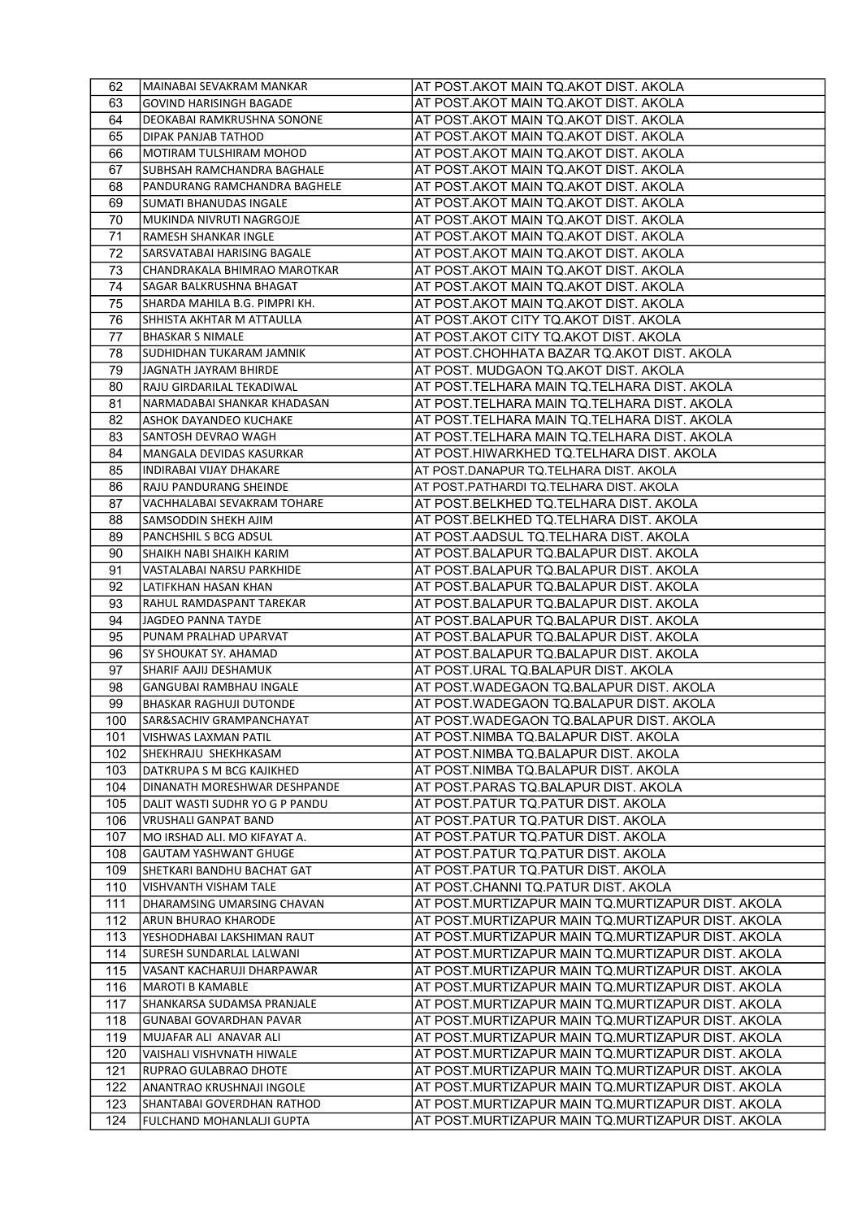| 62         | MAINABAI SEVAKRAM MANKAR                               | AT POST.AKOT MAIN TQ.AKOT DIST. AKOLA                                                                  |
|------------|--------------------------------------------------------|--------------------------------------------------------------------------------------------------------|
| 63         | <b>GOVIND HARISINGH BAGADE</b>                         | AT POST.AKOT MAIN TQ.AKOT DIST. AKOLA                                                                  |
| 64         | DEOKABAI RAMKRUSHNA SONONE                             | AT POST.AKOT MAIN TQ.AKOT DIST. AKOLA                                                                  |
| 65         | <b>DIPAK PANJAB TATHOD</b>                             | AT POST.AKOT MAIN TQ.AKOT DIST. AKOLA                                                                  |
| 66         | <b>MOTIRAM TULSHIRAM MOHOD</b>                         | AT POST.AKOT MAIN TQ.AKOT DIST. AKOLA                                                                  |
| 67         | SUBHSAH RAMCHANDRA BAGHALE                             | AT POST.AKOT MAIN TQ.AKOT DIST. AKOLA                                                                  |
| 68         | PANDURANG RAMCHANDRA BAGHELE                           | AT POST.AKOT MAIN TQ.AKOT DIST. AKOLA                                                                  |
| 69         | <b>SUMATI BHANUDAS INGALE</b>                          | AT POST.AKOT MAIN TQ.AKOT DIST. AKOLA                                                                  |
| 70         | MUKINDA NIVRUTI NAGRGOJE                               | AT POST.AKOT MAIN TQ.AKOT DIST. AKOLA                                                                  |
| 71         | RAMESH SHANKAR INGLE                                   | AT POST.AKOT MAIN TQ.AKOT DIST. AKOLA                                                                  |
| 72         | SARSVATABAI HARISING BAGALE                            | AT POST.AKOT MAIN TQ.AKOT DIST. AKOLA                                                                  |
| 73         | CHANDRAKALA BHIMRAO MAROTKAR                           | AT POST.AKOT MAIN TQ.AKOT DIST. AKOLA                                                                  |
| 74         | SAGAR BALKRUSHNA BHAGAT                                | AT POST.AKOT MAIN TQ.AKOT DIST. AKOLA                                                                  |
| 75         | SHARDA MAHILA B.G. PIMPRI KH.                          | AT POST.AKOT MAIN TQ.AKOT DIST. AKOLA                                                                  |
| 76         | SHHISTA AKHTAR M ATTAULLA                              | AT POST.AKOT CITY TQ.AKOT DIST. AKOLA                                                                  |
| 77         | <b>BHASKAR S NIMALE</b>                                | AT POST.AKOT CITY TQ.AKOT DIST. AKOLA                                                                  |
| 78         | SUDHIDHAN TUKARAM JAMNIK                               | AT POST.CHOHHATA BAZAR TQ.AKOT DIST. AKOLA                                                             |
| 79         | JAGNATH JAYRAM BHIRDE                                  | AT POST. MUDGAON TQ.AKOT DIST. AKOLA                                                                   |
| 80         | RAJU GIRDARILAL TEKADIWAL                              | AT POST.TELHARA MAIN TQ.TELHARA DIST. AKOLA                                                            |
| 81         | NARMADABAI SHANKAR KHADASAN                            | AT POST.TELHARA MAIN TQ.TELHARA DIST. AKOLA                                                            |
| 82         | ASHOK DAYANDEO KUCHAKE                                 | AT POST.TELHARA MAIN TQ.TELHARA DIST. AKOLA                                                            |
| 83         | SANTOSH DEVRAO WAGH                                    | AT POST.TELHARA MAIN TQ.TELHARA DIST. AKOLA                                                            |
| 84         | MANGALA DEVIDAS KASURKAR                               | AT POST.HIWARKHED TQ.TELHARA DIST. AKOLA                                                               |
| 85         | INDIRABAI VIJAY DHAKARE                                | AT POST DANAPUR TO TELHARA DIST. AKOLA                                                                 |
| 86         | RAJU PANDURANG SHEINDE                                 | AT POST.PATHARDI TQ.TELHARA DIST. AKOLA                                                                |
| 87         | VACHHALABAI SEVAKRAM TOHARE                            | AT POST.BELKHED TQ.TELHARA DIST. AKOLA                                                                 |
| 88         | SAMSODDIN SHEKH AJIM                                   | AT POST.BELKHED TQ.TELHARA DIST. AKOLA                                                                 |
| 89         | PANCHSHIL S BCG ADSUL                                  | AT POST.AADSUL TQ.TELHARA DIST. AKOLA                                                                  |
| 90         | SHAIKH NABI SHAIKH KARIM                               | AT POST.BALAPUR TQ.BALAPUR DIST. AKOLA                                                                 |
| 91         | VASTALABAI NARSU PARKHIDE                              | AT POST.BALAPUR TQ.BALAPUR DIST. AKOLA                                                                 |
| 92         | LATIFKHAN HASAN KHAN                                   | AT POST.BALAPUR TQ.BALAPUR DIST. AKOLA                                                                 |
| 93         | RAHUL RAMDASPANT TAREKAR                               | AT POST.BALAPUR TQ.BALAPUR DIST. AKOLA                                                                 |
| 94         | <b>JAGDEO PANNA TAYDE</b>                              | AT POST.BALAPUR TQ.BALAPUR DIST. AKOLA                                                                 |
| 95         | PUNAM PRALHAD UPARVAT                                  | AT POST.BALAPUR TQ.BALAPUR DIST. AKOLA                                                                 |
| 96         | SY SHOUKAT SY. AHAMAD                                  | AT POST.BALAPUR TQ.BALAPUR DIST. AKOLA                                                                 |
| 97         | SHARIF AAJIJ DESHAMUK                                  | AT POST.URAL TQ.BALAPUR DIST. AKOLA                                                                    |
| 98         | GANGUBAI RAMBHAU INGALE                                | AT POST.WADEGAON TQ.BALAPUR DIST. AKOLA                                                                |
| 99         | <b>BHASKAR RAGHUJI DUTONDE</b>                         | AT POST.WADEGAON TQ.BALAPUR DIST. AKOLA                                                                |
| 100        | SAR&SACHIV GRAMPANCHAYAT                               | AT POST. WADEGAON TO BALAPUR DIST. AKOLA                                                               |
| 101        | VISHWAS LAXMAN PATIL                                   | AT POST.NIMBA TQ.BALAPUR DIST. AKOLA                                                                   |
| 102        | SHEKHRAJU SHEKHKASAM                                   | AT POST.NIMBA TQ.BALAPUR DIST. AKOLA                                                                   |
| 103        | DATKRUPA S M BCG KAJIKHED                              | AT POST.NIMBA TQ.BALAPUR DIST. AKOLA                                                                   |
| 104        | DINANATH MORESHWAR DESHPANDE                           | AT POST.PARAS TQ.BALAPUR DIST. AKOLA                                                                   |
| 105        | DALIT WASTI SUDHR YO G P PANDU                         | AT POST.PATUR TQ.PATUR DIST. AKOLA                                                                     |
| 106        | <b>VRUSHALI GANPAT BAND</b>                            | AT POST.PATUR TQ.PATUR DIST. AKOLA                                                                     |
| 107        | MO IRSHAD ALI. MO KIFAYAT A.                           | AT POST.PATUR TQ.PATUR DIST. AKOLA                                                                     |
| 108        | <b>GAUTAM YASHWANT GHUGE</b>                           | AT POST.PATUR TQ.PATUR DIST. AKOLA                                                                     |
| 109        | SHETKARI BANDHU BACHAT GAT                             | AT POST.PATUR TQ.PATUR DIST. AKOLA                                                                     |
| 110        | VISHVANTH VISHAM TALE                                  | AT POST.CHANNI TQ.PATUR DIST. AKOLA                                                                    |
| 111        | DHARAMSING UMARSING CHAVAN                             | AT POST.MURTIZAPUR MAIN TQ.MURTIZAPUR DIST. AKOLA                                                      |
| 112        | ARUN BHURAO KHARODE                                    | AT POST.MURTIZAPUR MAIN TQ.MURTIZAPUR DIST. AKOLA                                                      |
| 113<br>114 | YESHODHABAI LAKSHIMAN RAUT<br>SURESH SUNDARLAL LALWANI | AT POST.MURTIZAPUR MAIN TQ.MURTIZAPUR DIST. AKOLA<br>AT POST.MURTIZAPUR MAIN TQ.MURTIZAPUR DIST. AKOLA |
|            |                                                        |                                                                                                        |
| 115<br>116 | VASANT KACHARUJI DHARPAWAR<br><b>MAROTI B KAMABLE</b>  | AT POST.MURTIZAPUR MAIN TQ.MURTIZAPUR DIST. AKOLA<br>AT POST.MURTIZAPUR MAIN TQ.MURTIZAPUR DIST. AKOLA |
| 117        | SHANKARSA SUDAMSA PRANJALE                             | AT POST.MURTIZAPUR MAIN TQ.MURTIZAPUR DIST. AKOLA                                                      |
| 118        | <b>GUNABAI GOVARDHAN PAVAR</b>                         | AT POST.MURTIZAPUR MAIN TQ.MURTIZAPUR DIST. AKOLA                                                      |
| 119        | MUJAFAR ALI ANAVAR ALI                                 | AT POST.MURTIZAPUR MAIN TQ.MURTIZAPUR DIST. AKOLA                                                      |
| 120        | VAISHALI VISHVNATH HIWALE                              | AT POST.MURTIZAPUR MAIN TQ.MURTIZAPUR DIST. AKOLA                                                      |
| 121        | RUPRAO GULABRAO DHOTE                                  | AT POST.MURTIZAPUR MAIN TQ.MURTIZAPUR DIST. AKOLA                                                      |
| 122        | ANANTRAO KRUSHNAJI INGOLE                              | AT POST.MURTIZAPUR MAIN TQ.MURTIZAPUR DIST. AKOLA                                                      |
| 123        | SHANTABAI GOVERDHAN RATHOD                             | AT POST.MURTIZAPUR MAIN TQ.MURTIZAPUR DIST. AKOLA                                                      |
| 124        | FULCHAND MOHANLALJI GUPTA                              | AT POST.MURTIZAPUR MAIN TQ.MURTIZAPUR DIST. AKOLA                                                      |
|            |                                                        |                                                                                                        |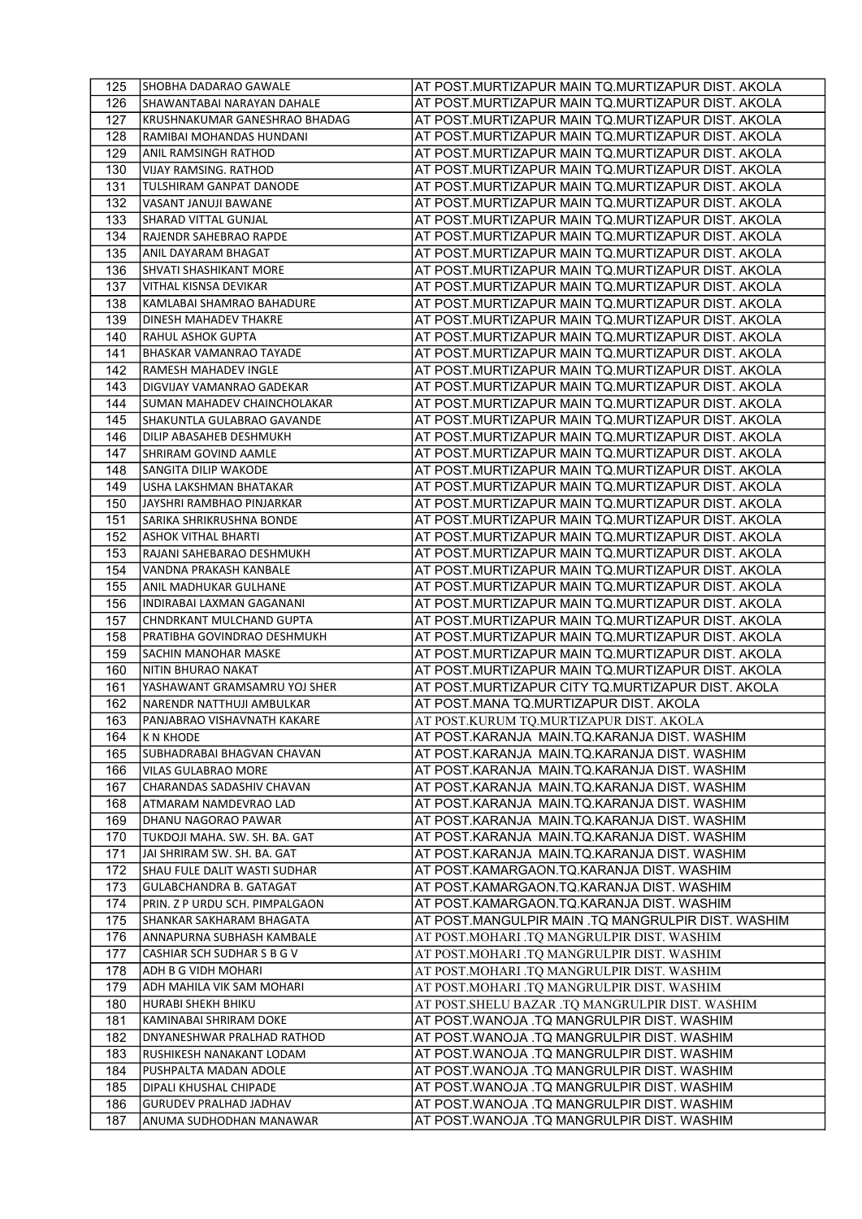| 125        | SHOBHA DADARAO GAWALE                                 | AT POST.MURTIZAPUR MAIN TQ.MURTIZAPUR DIST. AKOLA                                        |
|------------|-------------------------------------------------------|------------------------------------------------------------------------------------------|
| 126        | SHAWANTABAI NARAYAN DAHALE                            | AT POST.MURTIZAPUR MAIN TQ.MURTIZAPUR DIST. AKOLA                                        |
| 127        | KRUSHNAKUMAR GANESHRAO BHADAG                         | AT POST.MURTIZAPUR MAIN TQ.MURTIZAPUR DIST. AKOLA                                        |
| 128        | RAMIBAI MOHANDAS HUNDANI                              | AT POST.MURTIZAPUR MAIN TQ.MURTIZAPUR DIST. AKOLA                                        |
| 129        | ANIL RAMSINGH RATHOD                                  | AT POST.MURTIZAPUR MAIN TQ.MURTIZAPUR DIST. AKOLA                                        |
| 130        | <b>VIJAY RAMSING. RATHOD</b>                          | AT POST.MURTIZAPUR MAIN TQ.MURTIZAPUR DIST. AKOLA                                        |
| 131        | TULSHIRAM GANPAT DANODE                               | AT POST.MURTIZAPUR MAIN TQ.MURTIZAPUR DIST. AKOLA                                        |
| 132        | VASANT JANUJI BAWANE                                  | AT POST.MURTIZAPUR MAIN TQ.MURTIZAPUR DIST. AKOLA                                        |
| 133        | SHARAD VITTAL GUNJAL                                  | AT POST.MURTIZAPUR MAIN TQ.MURTIZAPUR DIST. AKOLA                                        |
| 134        | RAJENDR SAHEBRAO RAPDE                                | AT POST.MURTIZAPUR MAIN TQ.MURTIZAPUR DIST. AKOLA                                        |
| 135        | ANIL DAYARAM BHAGAT                                   | AT POST.MURTIZAPUR MAIN TQ.MURTIZAPUR DIST. AKOLA                                        |
| 136        | SHVATI SHASHIKANT MORE                                | AT POST.MURTIZAPUR MAIN TQ.MURTIZAPUR DIST. AKOLA                                        |
| 137        | VITHAL KISNSA DEVIKAR                                 | AT POST.MURTIZAPUR MAIN TQ.MURTIZAPUR DIST. AKOLA                                        |
| 138        | KAMLABAI SHAMRAO BAHADURE                             | AT POST.MURTIZAPUR MAIN TQ.MURTIZAPUR DIST. AKOLA                                        |
| 139        | <b>DINESH MAHADEV THAKRE</b>                          | AT POST.MURTIZAPUR MAIN TQ.MURTIZAPUR DIST. AKOLA                                        |
| 140        | <b>RAHUL ASHOK GUPTA</b>                              | AT POST.MURTIZAPUR MAIN TQ.MURTIZAPUR DIST. AKOLA                                        |
| 141        | <b>BHASKAR VAMANRAO TAYADE</b>                        | AT POST.MURTIZAPUR MAIN TQ.MURTIZAPUR DIST. AKOLA                                        |
| 142        | RAMESH MAHADEV INGLE                                  | AT POST.MURTIZAPUR MAIN TQ.MURTIZAPUR DIST. AKOLA                                        |
| 143        | DIGVIJAY VAMANRAO GADEKAR                             | AT POST.MURTIZAPUR MAIN TQ.MURTIZAPUR DIST. AKOLA                                        |
| 144        | SUMAN MAHADEV CHAINCHOLAKAR                           | AT POST.MURTIZAPUR MAIN TQ.MURTIZAPUR DIST. AKOLA                                        |
| 145        | SHAKUNTLA GULABRAO GAVANDE                            | AT POST.MURTIZAPUR MAIN TQ.MURTIZAPUR DIST. AKOLA                                        |
| 146        | DILIP ABASAHEB DESHMUKH                               | AT POST.MURTIZAPUR MAIN TQ.MURTIZAPUR DIST. AKOLA                                        |
| 147        | SHRIRAM GOVIND AAMLE                                  | AT POST.MURTIZAPUR MAIN TQ.MURTIZAPUR DIST. AKOLA                                        |
| 148        | SANGITA DILIP WAKODE                                  | AT POST.MURTIZAPUR MAIN TQ.MURTIZAPUR DIST. AKOLA                                        |
| 149        | USHA LAKSHMAN BHATAKAR                                | AT POST.MURTIZAPUR MAIN TQ.MURTIZAPUR DIST. AKOLA                                        |
| 150        | JAYSHRI RAMBHAO PINJARKAR                             | AT POST.MURTIZAPUR MAIN TQ.MURTIZAPUR DIST. AKOLA                                        |
| 151        | SARIKA SHRIKRUSHNA BONDE                              | AT POST.MURTIZAPUR MAIN TQ.MURTIZAPUR DIST. AKOLA                                        |
| 152        | <b>ASHOK VITHAL BHARTI</b>                            | AT POST.MURTIZAPUR MAIN TQ.MURTIZAPUR DIST. AKOLA                                        |
| 153        | RAJANI SAHEBARAO DESHMUKH                             | AT POST.MURTIZAPUR MAIN TQ.MURTIZAPUR DIST. AKOLA                                        |
| 154        | VANDNA PRAKASH KANBALE                                | AT POST.MURTIZAPUR MAIN TQ.MURTIZAPUR DIST. AKOLA                                        |
| 155        | ANIL MADHUKAR GULHANE                                 | AT POST.MURTIZAPUR MAIN TQ.MURTIZAPUR DIST. AKOLA                                        |
| 156        | INDIRABAI LAXMAN GAGANANI                             | AT POST.MURTIZAPUR MAIN TQ.MURTIZAPUR DIST. AKOLA                                        |
| 157        | CHNDRKANT MULCHAND GUPTA                              | AT POST.MURTIZAPUR MAIN TQ.MURTIZAPUR DIST. AKOLA                                        |
| 158        | PRATIBHA GOVINDRAO DESHMUKH                           | AT POST.MURTIZAPUR MAIN TQ.MURTIZAPUR DIST. AKOLA                                        |
| 159        | <b>SACHIN MANOHAR MASKE</b>                           | AT POST.MURTIZAPUR MAIN TQ.MURTIZAPUR DIST. AKOLA                                        |
| 160        | NITIN BHURAO NAKAT                                    | AT POST.MURTIZAPUR MAIN TQ.MURTIZAPUR DIST. AKOLA                                        |
| 161        | YASHAWANT GRAMSAMRU YOJ SHER                          | AT POST.MURTIZAPUR CITY TQ.MURTIZAPUR DIST. AKOLA                                        |
| 162        | NARENDR NATTHUJI AMBULKAR                             | AT POST.MANA TQ.MURTIZAPUR DIST. AKOLA                                                   |
| 163        | PANJABRAO VISHAVNATH KAKARE                           | AT POST.KURUM TQ.MURTIZAPUR DIST. AKOLA                                                  |
| 164        | K N KHODE                                             | AT POST.KARANJA MAIN.TQ.KARANJA DIST. WASHIM                                             |
| 165        | SUBHADRABAI BHAGVAN CHAVAN                            | AT POST.KARANJA MAIN.TQ.KARANJA DIST. WASHIM                                             |
| 166        | <b>VILAS GULABRAO MORE</b>                            | AT POST.KARANJA MAIN.TQ.KARANJA DIST. WASHIM                                             |
| 167        | CHARANDAS SADASHIV CHAVAN                             | AT POST.KARANJA MAIN.TQ.KARANJA DIST. WASHIM                                             |
| 168        | <b>ATMARAM NAMDEVRAO LAD</b>                          | AT POST.KARANJA MAIN.TQ.KARANJA DIST. WASHIM                                             |
| 169        | DHANU NAGORAO PAWAR                                   | AT POST.KARANJA MAIN.TQ.KARANJA DIST. WASHIM                                             |
| 170        | TUKDOJI MAHA. SW. SH. BA. GAT                         | AT POST.KARANJA MAIN.TQ.KARANJA DIST. WASHIM                                             |
| 171        | JAI SHRIRAM SW. SH. BA. GAT                           | AT POST.KARANJA MAIN.TQ.KARANJA DIST. WASHIM                                             |
| 172        | SHAU FULE DALIT WASTI SUDHAR                          | AT POST.KAMARGAON.TQ.KARANJA DIST. WASHIM                                                |
| 173        | <b>GULABCHANDRA B. GATAGAT</b>                        | AT POST.KAMARGAON.TQ.KARANJA DIST. WASHIM                                                |
| 174        | PRIN. Z P URDU SCH. PIMPALGAON                        | AT POST.KAMARGAON.TQ.KARANJA DIST. WASHIM                                                |
| 175<br>176 | SHANKAR SAKHARAM BHAGATA<br>ANNAPURNA SUBHASH KAMBALE | AT POST.MANGULPIR MAIN .TQ MANGRULPIR DIST. WASHIM                                       |
| 177        | CASHIAR SCH SUDHAR S B G V                            | AT POST.MOHARI .TQ MANGRULPIR DIST. WASHIM                                               |
| 178        | ADH B G VIDH MOHARI                                   | AT POST.MOHARI .TQ MANGRULPIR DIST. WASHIM                                               |
| 179        | ADH MAHILA VIK SAM MOHARI                             | AT POST.MOHARI .TQ MANGRULPIR DIST. WASHIM<br>AT POST.MOHARI .TQ MANGRULPIR DIST. WASHIM |
| 180        | HURABI SHEKH BHIKU                                    | AT POST.SHELU BAZAR .TQ MANGRULPIR DIST. WASHIM                                          |
| 181        | KAMINABAI SHRIRAM DOKE                                |                                                                                          |
|            | DNYANESHWAR PRALHAD RATHOD                            | AT POST.WANOJA .TQ MANGRULPIR DIST. WASHIM                                               |
| 182        | RUSHIKESH NANAKANT LODAM                              | AT POST.WANOJA .TQ MANGRULPIR DIST. WASHIM<br>AT POST.WANOJA .TQ MANGRULPIR DIST. WASHIM |
| 183<br>184 | PUSHPALTA MADAN ADOLE                                 | AT POST.WANOJA .TQ MANGRULPIR DIST. WASHIM                                               |
| 185        | DIPALI KHUSHAL CHIPADE                                | AT POST.WANOJA .TQ MANGRULPIR DIST. WASHIM                                               |
| 186        | <b>GURUDEV PRALHAD JADHAV</b>                         | AT POST.WANOJA .TQ MANGRULPIR DIST. WASHIM                                               |
| 187        | ANUMA SUDHODHAN MANAWAR                               | AT POST.WANOJA .TQ MANGRULPIR DIST. WASHIM                                               |
|            |                                                       |                                                                                          |